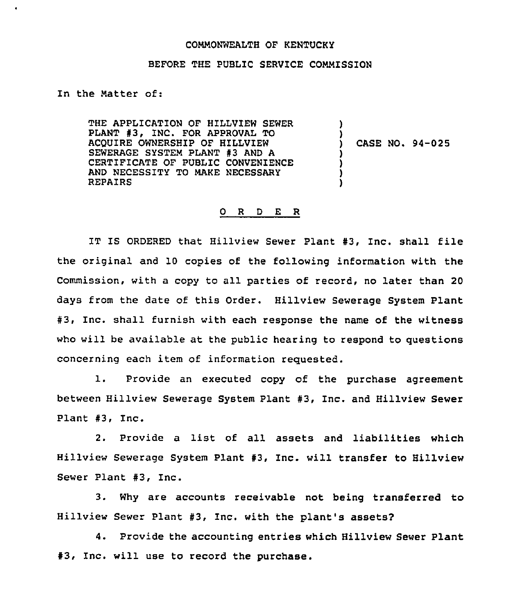## COMMONWEALTH OF KENTUCKY

## BEFORE THE PUBLIC SERVICE COMMISSION

In the Matter of:

THE APPLICATION OF HILLVIEW SEWER ) PLANT #3, INC. FOR APPROVAL TO ) ACQUIRE OWNERSHIP OF HILLVIEW CASE NO. 94-025 SEWERAGE SYSTEM PLANT #3 AND A } CERTIFICATE OF PUBLIC CONVENIENCE ) AND NECESSITY TO MAKE NECESSARY ) REPAIRS )

## 0 <sup>R</sup> <sup>D</sup> E R

IT IS ORDERED that Hillview Sewer Plant #3, Inc. shall file the original and 10 copies of the following information with the Commission, with a copy to all parties of record, no later than 20 days from the date of this Order. Hillview Sewerage System Plant #3, Inc. shall furnish with each response the name of the witness who will be available at the public hearing to respond to questions concerning each item of information requested.

1. Provide an executed copy of the purchase agreement between Hillview Sewerage System Plant #3, Inc. and Hillview Sewer Plant #3, Inc.

2. Provide <sup>a</sup> list of all assets and liabilities which Hillview Sewerage System Plant #3, Inc. will transfer to Hillview Sewer Plant #3, Inc.

3. Why are accounts receivable not being transferred to Hillview Sewer Plant #3, Inc. with the plant's assets?

4. Provide the accounting entries which Hillview Sewer Plant #3, Inc. will use to record the purchase.